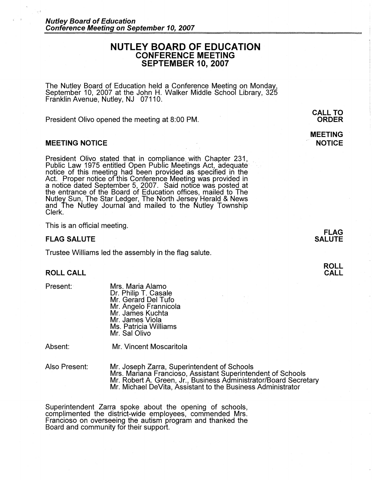# **NUTLEY BOARD OF EDUCATION CONFERENCE MEETING SEPTEMBER 10, 2007**

The Nutley Board of Education held a Conference Meeting on Monday, September 10, 2007 at the John **H.** Walker Middle School Library, 325 Franklin Avenue, Nutley, NJ 07110.

President Olivo opened the meeting at 8:00 PM.

### **MEETING NOTICE**

President Olivo stated that in compliance with Chapter 231, Public Law 1975 entitled Open Public Meetings Act, adequate notice of this meeting had been provided as specified in the Act. Proper notice of this Conference Meeting was provided in a notice dated September 5, 2007. Said notice was posted at the entrance of the Board of Education offices, mailed to The Nutley Sun, The Star Ledger, The North Jersey Herald & News and The Nutley Journal and mailed to the Nutley Township Clerk.

This is an official meeting.

#### **FLAG SALUTE**

Trustee Williams led the assembly in the flag salute.

## **ROLL CALL**

Present:

Mrs. Maria Alamo Dr. Philip T. Casale Mr. Gerard Del Tufo Mr. Angelo Frannicola Mr. James Kuchta Mr. James Viola Ms. Patricia Williams Mr. Sal Olivo

Absent:

Mr. Vincent Moscaritola

Also Present:

Mr. Joseph Zarra, Superintendent of Schools Mrs. Mariana Franciosa, Assistant Superintendent of Schools Mr. Robert A. Green, Jr., Business Administrator/Board Secretary Mr. Michael DeVita, Assistant to the Business Administrator

Superintendent Zarra spoke about the opening of schools, complimented the district-wide employees, commended Mrs. Francioso on overseeing the autism program and thanked the Board and community for their support.

**CALL TO ORDER** 

**MEETING NOTICE** 

> **FLAG SALUTE**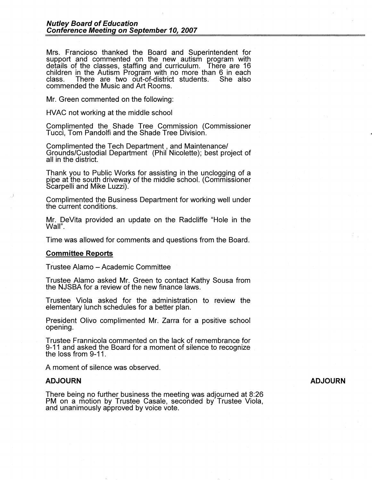Mrs. Franciosa thanked the Board and Superintendent for support and commented on the new autism program with<br>details of the classes, staffing and curriculum. There are 16 details of the classes, staffing and curriculum. children in the Autism Program with no more than 6 in each There are two out-of-district students. commended the Music and Art Rooms.

Mr. Green commented on the following:

HVAC not working at the middle school

Complimented the Shade Tree Commission (Commissioner Tucci, Tom Pandolfi and the Shade Tree Division.

Complimented the Tech Department, and Maintenance/ Grounds/Custodial Department (Phil Nicolette); best project of all in the district.

Thank you to Public Works for assisting in the unclogging of a pipe at the south driveway of the middle school. (Commissioner<br>Scarpelli and Mike Luzzi).

Complimented the Business Department for working well under the current conditions.

Mr. DeVita provided an update on the Radcliffe "Hole in the Wall".

Time was allowed for comments and questions from the Board.

#### **Committee Reports**

*)* 

Trustee Alamo - Academic Committee

Trustee Alamo asked Mr. Green to contact Kathy Sousa from the NJSBA for a review of the new finance laws.

Trustee Viola asked for the administration to review the elementary lunch schedules for a better plan.

President Olivo complimented Mr. Zarra for a positive school opening.

Trustee Frannicola commented on the lack of remembrance for 9-11 and asked the Board for a moment of silence to recognize the loss from 9-11.

A moment of silence was observed.

### **ADJOURN**

There being no further business the meeting was adjourned at 8:26 PM on a motion by Trustee Casale, seconded by Trustee Viola, and unanimously approved by voice vote.

### **ADJOURN**